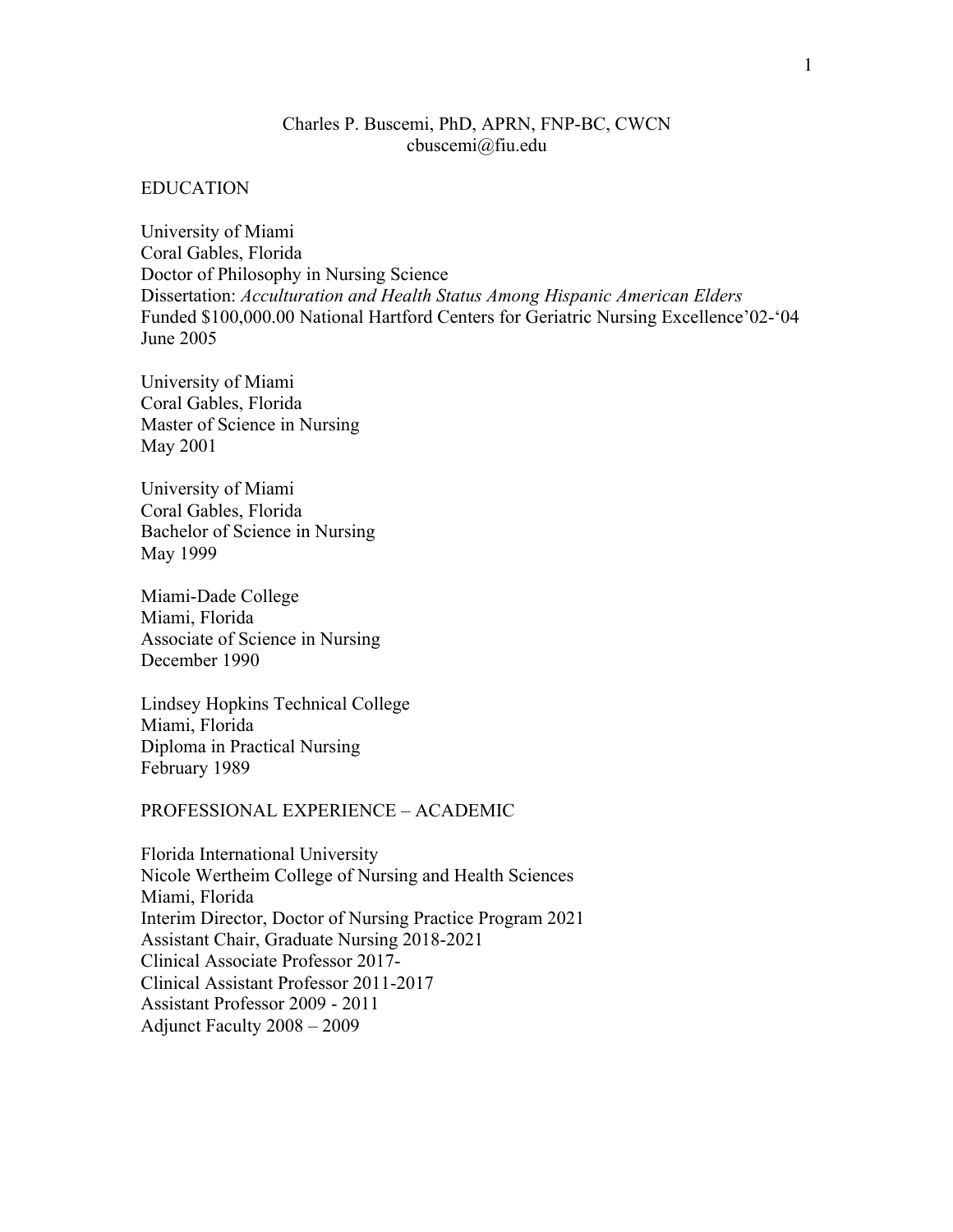# Charles P. Buscemi, PhD, APRN, FNP-BC, CWCN cbuscemi@fiu.edu

#### EDUCATION

University of Miami Coral Gables, Florida Doctor of Philosophy in Nursing Science Dissertation: *Acculturation and Health Status Among Hispanic American Elders*  Funded \$100,000.00 National Hartford Centers for Geriatric Nursing Excellence'02-'04 June 2005

University of Miami Coral Gables, Florida Master of Science in Nursing May 2001

University of Miami Coral Gables, Florida Bachelor of Science in Nursing May 1999

Miami-Dade College Miami, Florida Associate of Science in Nursing December 1990

Lindsey Hopkins Technical College Miami, Florida Diploma in Practical Nursing February 1989

### PROFESSIONAL EXPERIENCE – ACADEMIC

Florida International University Nicole Wertheim College of Nursing and Health Sciences Miami, Florida Interim Director, Doctor of Nursing Practice Program 2021 Assistant Chair, Graduate Nursing 2018-2021 Clinical Associate Professor 2017- Clinical Assistant Professor 2011-2017 Assistant Professor 2009 - 2011 Adjunct Faculty 2008 – 2009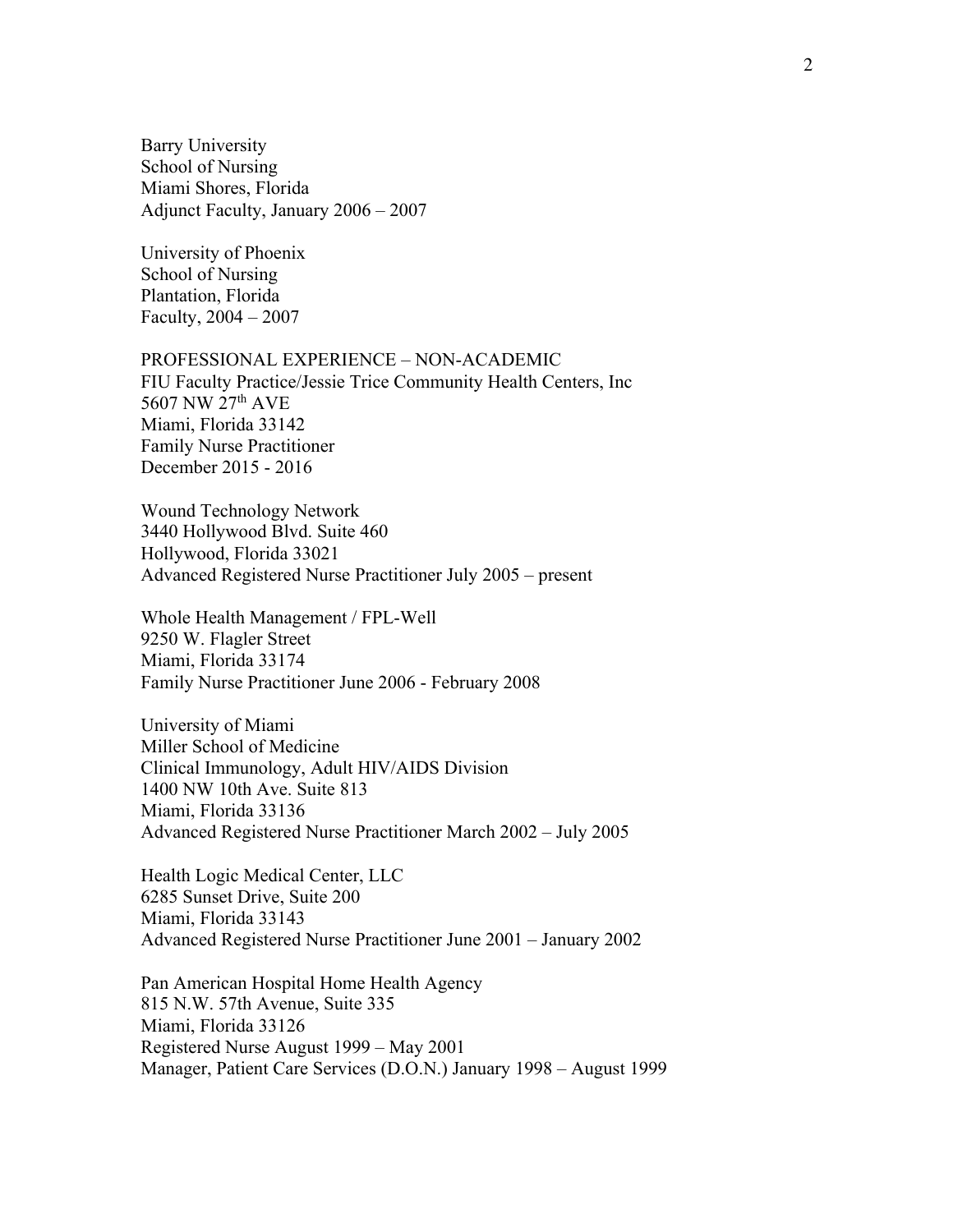Barry University School of Nursing Miami Shores, Florida Adjunct Faculty, January 2006 – 2007

University of Phoenix School of Nursing Plantation, Florida Faculty, 2004 – 2007

#### PROFESSIONAL EXPERIENCE – NON-ACADEMIC

FIU Faculty Practice/Jessie Trice Community Health Centers, Inc 5607 NW 27th AVE Miami, Florida 33142 Family Nurse Practitioner December 2015 - 2016

Wound Technology Network 3440 Hollywood Blvd. Suite 460 Hollywood, Florida 33021 Advanced Registered Nurse Practitioner July 2005 – present

Whole Health Management / FPL-Well 9250 W. Flagler Street Miami, Florida 33174 Family Nurse Practitioner June 2006 - February 2008

University of Miami Miller School of Medicine Clinical Immunology, Adult HIV/AIDS Division 1400 NW 10th Ave. Suite 813 Miami, Florida 33136 Advanced Registered Nurse Practitioner March 2002 – July 2005

Health Logic Medical Center, LLC 6285 Sunset Drive, Suite 200 Miami, Florida 33143 Advanced Registered Nurse Practitioner June 2001 – January 2002

Pan American Hospital Home Health Agency 815 N.W. 57th Avenue, Suite 335 Miami, Florida 33126 Registered Nurse August 1999 – May 2001 Manager, Patient Care Services (D.O.N.) January 1998 – August 1999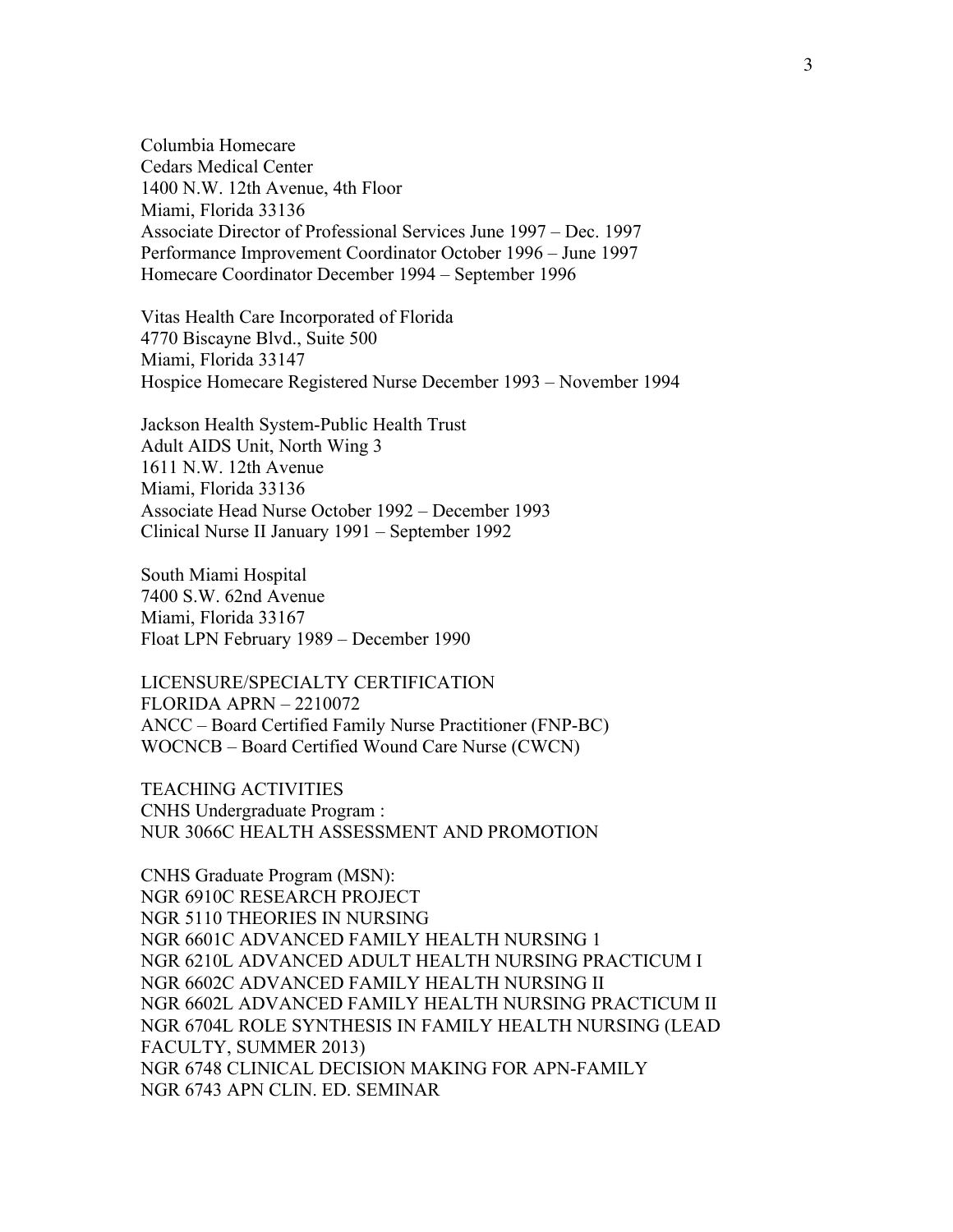Columbia Homecare Cedars Medical Center 1400 N.W. 12th Avenue, 4th Floor Miami, Florida 33136 Associate Director of Professional Services June 1997 – Dec. 1997 Performance Improvement Coordinator October 1996 – June 1997 Homecare Coordinator December 1994 – September 1996

Vitas Health Care Incorporated of Florida 4770 Biscayne Blvd., Suite 500 Miami, Florida 33147 Hospice Homecare Registered Nurse December 1993 – November 1994

Jackson Health System-Public Health Trust Adult AIDS Unit, North Wing 3 1611 N.W. 12th Avenue Miami, Florida 33136 Associate Head Nurse October 1992 – December 1993 Clinical Nurse II January 1991 – September 1992

South Miami Hospital 7400 S.W. 62nd Avenue Miami, Florida 33167 Float LPN February 1989 – December 1990

LICENSURE/SPECIALTY CERTIFICATION FLORIDA APRN – 2210072 ANCC – Board Certified Family Nurse Practitioner (FNP-BC) WOCNCB – Board Certified Wound Care Nurse (CWCN)

TEACHING ACTIVITIES CNHS Undergraduate Program : NUR 3066C HEALTH ASSESSMENT AND PROMOTION

CNHS Graduate Program (MSN): NGR 6910C RESEARCH PROJECT NGR 5110 THEORIES IN NURSING NGR 6601C ADVANCED FAMILY HEALTH NURSING 1 NGR 6210L ADVANCED ADULT HEALTH NURSING PRACTICUM I NGR 6602C ADVANCED FAMILY HEALTH NURSING II NGR 6602L ADVANCED FAMILY HEALTH NURSING PRACTICUM II NGR 6704L ROLE SYNTHESIS IN FAMILY HEALTH NURSING (LEAD FACULTY, SUMMER 2013) NGR 6748 CLINICAL DECISION MAKING FOR APN-FAMILY NGR 6743 APN CLIN. ED. SEMINAR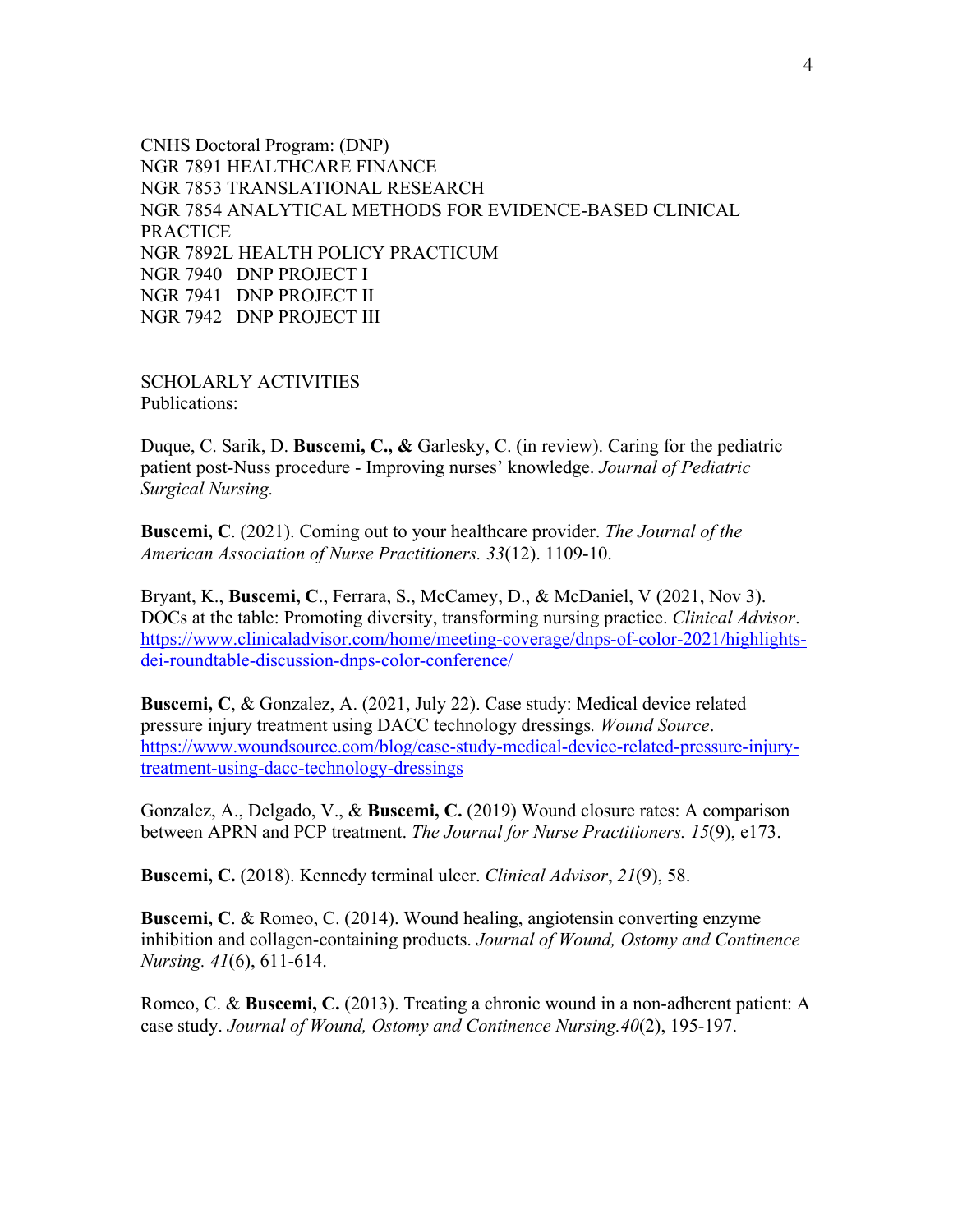CNHS Doctoral Program: (DNP) NGR 7891 HEALTHCARE FINANCE NGR 7853 TRANSLATIONAL RESEARCH NGR 7854 ANALYTICAL METHODS FOR EVIDENCE-BASED CLINICAL PRACTICE NGR 7892L HEALTH POLICY PRACTICUM NGR 7940 DNP PROJECT I NGR 7941 DNP PROJECT II NGR 7942 DNP PROJECT III

SCHOLARLY ACTIVITIES Publications:

Duque, C. Sarik, D. **Buscemi, C., &** Garlesky, C. (in review). Caring for the pediatric patient post-Nuss procedure - Improving nurses' knowledge. *Journal of Pediatric Surgical Nursing.*

**Buscemi, C**. (2021). Coming out to your healthcare provider. *The Journal of the American Association of Nurse Practitioners. 33*(12). 1109-10.

Bryant, K., **Buscemi, C**., Ferrara, S., McCamey, D., & McDaniel, V (2021, Nov 3). DOCs at the table: Promoting diversity, transforming nursing practice. *Clinical Advisor*. https://www.clinicaladvisor.com/home/meeting-coverage/dnps-of-color-2021/highlightsdei-roundtable-discussion-dnps-color-conference/

**Buscemi, C**, & Gonzalez, A. (2021, July 22). Case study: Medical device related pressure injury treatment using DACC technology dressings*. Wound Source*. https://www.woundsource.com/blog/case-study-medical-device-related-pressure-injurytreatment-using-dacc-technology-dressings

Gonzalez, A., Delgado, V., & **Buscemi, C.** (2019) Wound closure rates: A comparison between APRN and PCP treatment. *The Journal for Nurse Practitioners. 15*(9), e173.

**Buscemi, C.** (2018). Kennedy terminal ulcer. *Clinical Advisor*, *21*(9), 58.

**Buscemi, C**. & Romeo, C. (2014). Wound healing, angiotensin converting enzyme inhibition and collagen-containing products. *Journal of Wound, Ostomy and Continence Nursing. 41*(6), 611-614.

Romeo, C. & **Buscemi, C.** (2013). Treating a chronic wound in a non-adherent patient: A case study. *Journal of Wound, Ostomy and Continence Nursing.40*(2), 195-197.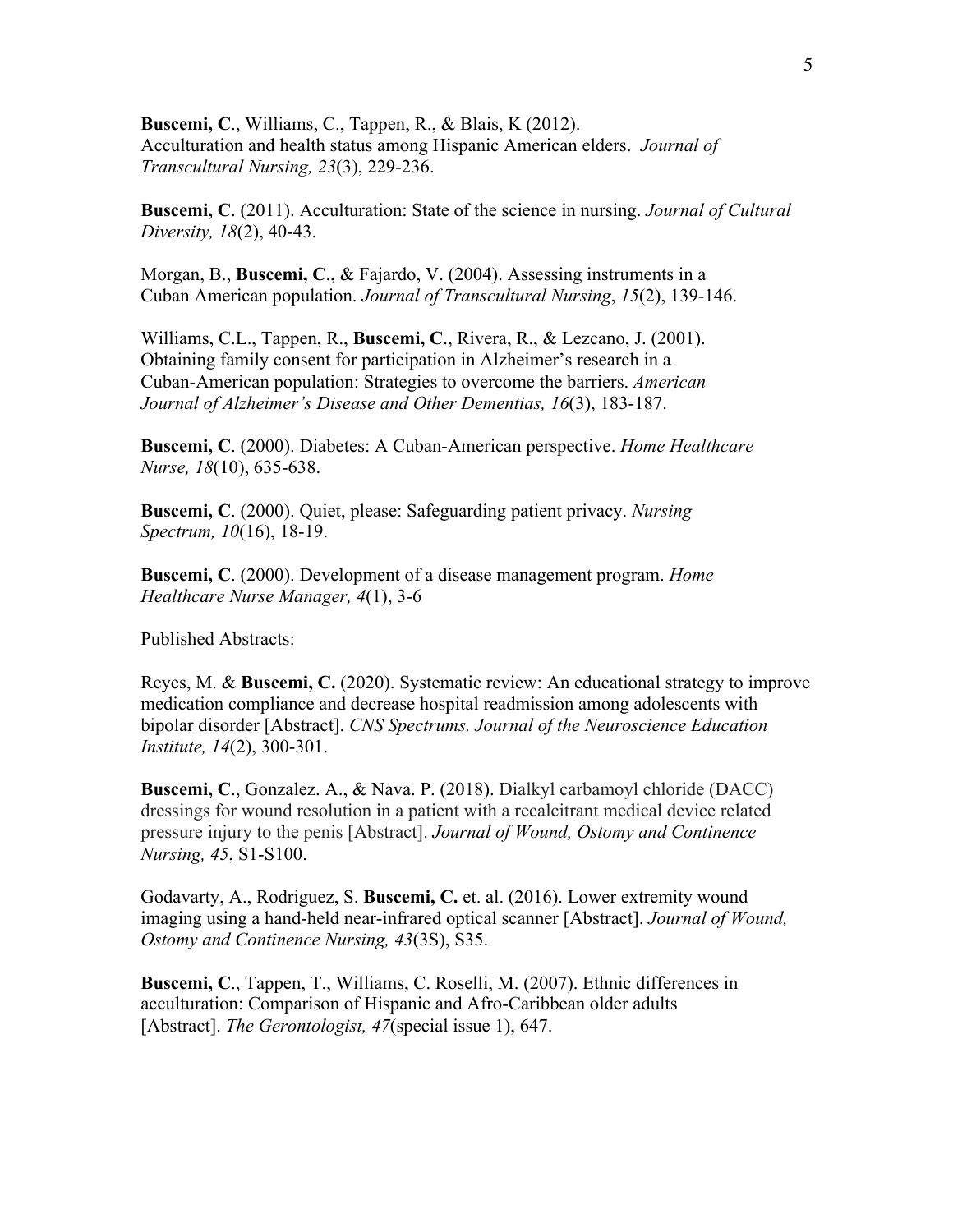**Buscemi, C**., Williams, C., Tappen, R., & Blais, K (2012). Acculturation and health status among Hispanic American elders. *Journal of Transcultural Nursing, 23*(3), 229-236.

**Buscemi, C**. (2011). Acculturation: State of the science in nursing. *Journal of Cultural Diversity, 18*(2), 40-43.

Morgan, B., **Buscemi, C**., & Fajardo, V. (2004). Assessing instruments in a Cuban American population. *Journal of Transcultural Nursing*, *15*(2), 139-146.

Williams, C.L., Tappen, R., **Buscemi, C**., Rivera, R., & Lezcano, J. (2001). Obtaining family consent for participation in Alzheimer's research in a Cuban-American population: Strategies to overcome the barriers. *American Journal of Alzheimer's Disease and Other Dementias, 16*(3), 183-187.

**Buscemi, C**. (2000). Diabetes: A Cuban-American perspective. *Home Healthcare Nurse, 18*(10), 635-638.

**Buscemi, C**. (2000). Quiet, please: Safeguarding patient privacy. *Nursing Spectrum, 10*(16), 18-19.

**Buscemi, C**. (2000). Development of a disease management program. *Home Healthcare Nurse Manager, 4*(1), 3-6

Published Abstracts:

Reyes, M. & **Buscemi, C.** (2020). Systematic review: An educational strategy to improve medication compliance and decrease hospital readmission among adolescents with bipolar disorder [Abstract]. *CNS Spectrums. Journal of the Neuroscience Education Institute, 14*(2), 300-301.

**Buscemi, C**., Gonzalez. A., & Nava. P. (2018). Dialkyl carbamoyl chloride (DACC) dressings for wound resolution in a patient with a recalcitrant medical device related pressure injury to the penis [Abstract]. *Journal of Wound, Ostomy and Continence Nursing, 45*, S1-S100.

Godavarty, A., Rodriguez, S. **Buscemi, C.** et. al. (2016). Lower extremity wound imaging using a hand-held near-infrared optical scanner [Abstract]. *Journal of Wound, Ostomy and Continence Nursing, 43*(3S), S35.

**Buscemi, C**., Tappen, T., Williams, C. Roselli, M. (2007). Ethnic differences in acculturation: Comparison of Hispanic and Afro-Caribbean older adults [Abstract]. *The Gerontologist, 47*(special issue 1), 647.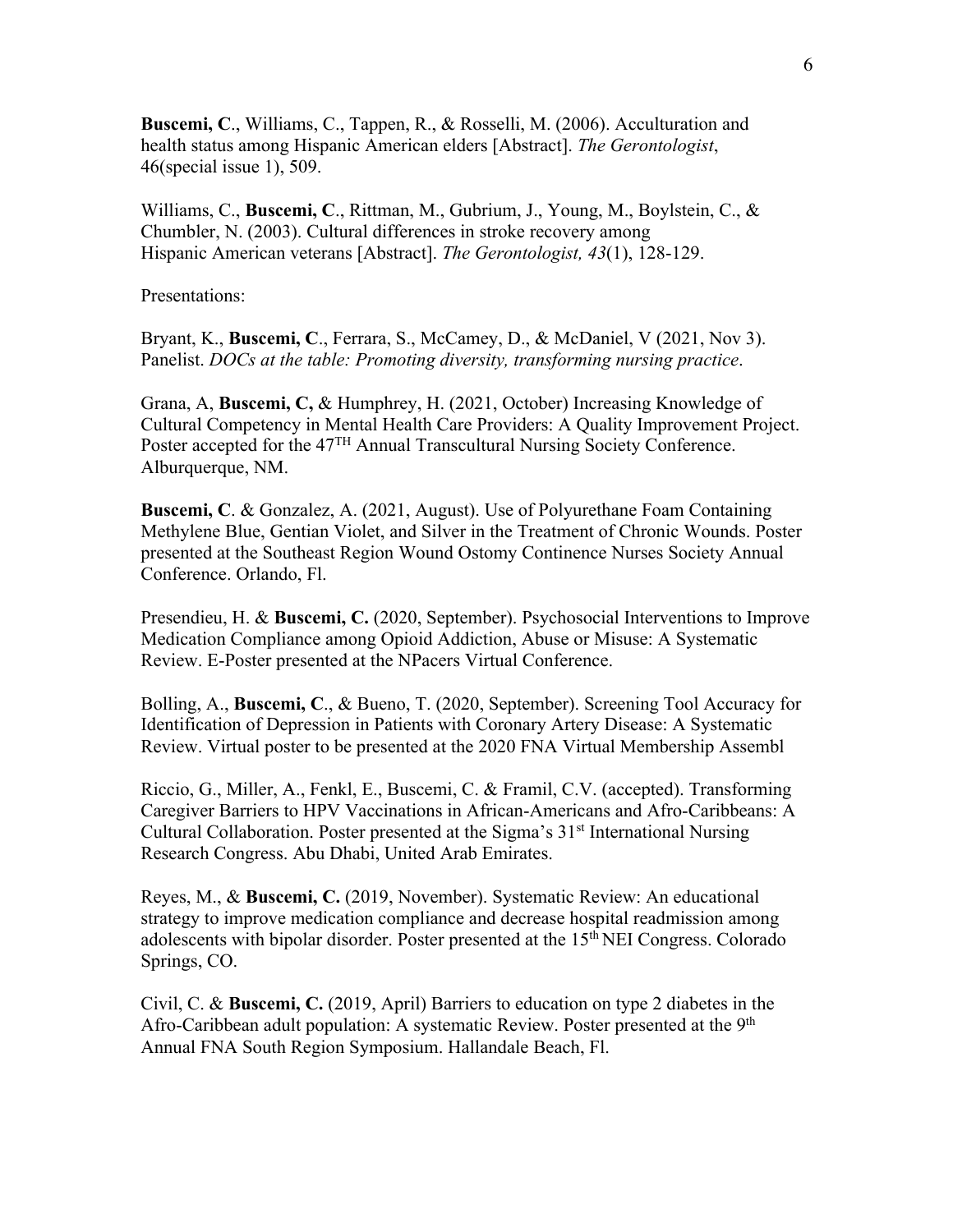**Buscemi, C**., Williams, C., Tappen, R., & Rosselli, M. (2006). Acculturation and health status among Hispanic American elders [Abstract]. *The Gerontologist*, 46(special issue 1), 509.

Williams, C., **Buscemi, C**., Rittman, M., Gubrium, J., Young, M., Boylstein, C., & Chumbler, N. (2003). Cultural differences in stroke recovery among Hispanic American veterans [Abstract]. *The Gerontologist, 43*(1), 128-129.

Presentations:

Bryant, K., **Buscemi, C**., Ferrara, S., McCamey, D., & McDaniel, V (2021, Nov 3). Panelist. *DOCs at the table: Promoting diversity, transforming nursing practice*.

Grana, A, **Buscemi, C,** & Humphrey, H. (2021, October) Increasing Knowledge of Cultural Competency in Mental Health Care Providers: A Quality Improvement Project. Poster accepted for the 47<sup>TH</sup> Annual Transcultural Nursing Society Conference. Alburquerque, NM.

**Buscemi, C**. & Gonzalez, A. (2021, August). Use of Polyurethane Foam Containing Methylene Blue, Gentian Violet, and Silver in the Treatment of Chronic Wounds. Poster presented at the Southeast Region Wound Ostomy Continence Nurses Society Annual Conference. Orlando, Fl.

Presendieu, H. & **Buscemi, C.** (2020, September). Psychosocial Interventions to Improve Medication Compliance among Opioid Addiction, Abuse or Misuse: A Systematic Review. E-Poster presented at the NPacers Virtual Conference.

Bolling, A., **Buscemi, C**., & Bueno, T. (2020, September). Screening Tool Accuracy for Identification of Depression in Patients with Coronary Artery Disease: A Systematic Review. Virtual poster to be presented at the 2020 FNA Virtual Membership Assembl

Riccio, G., Miller, A., Fenkl, E., Buscemi, C. & Framil, C.V. (accepted). Transforming Caregiver Barriers to HPV Vaccinations in African-Americans and Afro-Caribbeans: A Cultural Collaboration. Poster presented at the Sigma's 31<sup>st</sup> International Nursing Research Congress. Abu Dhabi, United Arab Emirates.

Reyes, M., & **Buscemi, C.** (2019, November). Systematic Review: An educational strategy to improve medication compliance and decrease hospital readmission among adolescents with bipolar disorder. Poster presented at the 15<sup>th</sup> NEI Congress. Colorado Springs, CO.

Civil, C. & **Buscemi, C.** (2019, April) Barriers to education on type 2 diabetes in the Afro-Caribbean adult population: A systematic Review. Poster presented at the 9<sup>th</sup> Annual FNA South Region Symposium. Hallandale Beach, Fl.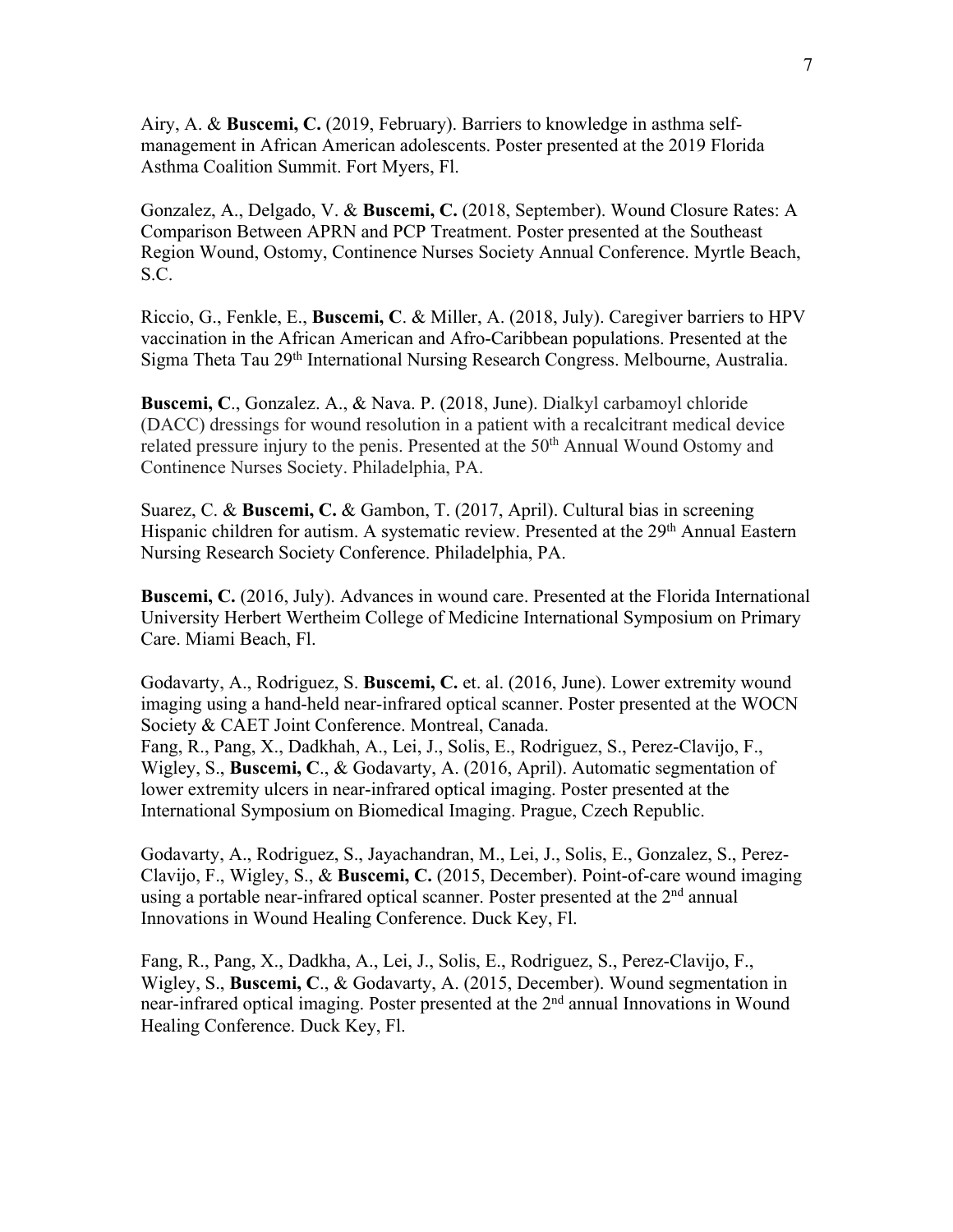Airy, A. & **Buscemi, C.** (2019, February). Barriers to knowledge in asthma selfmanagement in African American adolescents. Poster presented at the 2019 Florida Asthma Coalition Summit. Fort Myers, Fl.

Gonzalez, A., Delgado, V. & **Buscemi, C.** (2018, September). Wound Closure Rates: A Comparison Between APRN and PCP Treatment. Poster presented at the Southeast Region Wound, Ostomy, Continence Nurses Society Annual Conference. Myrtle Beach, S.C.

Riccio, G., Fenkle, E., **Buscemi, C**. & Miller, A. (2018, July). Caregiver barriers to HPV vaccination in the African American and Afro-Caribbean populations. Presented at the Sigma Theta Tau 29th International Nursing Research Congress. Melbourne, Australia.

**Buscemi, C**., Gonzalez. A., & Nava. P. (2018, June). Dialkyl carbamoyl chloride (DACC) dressings for wound resolution in a patient with a recalcitrant medical device related pressure injury to the penis. Presented at the 50<sup>th</sup> Annual Wound Ostomy and Continence Nurses Society. Philadelphia, PA.

Suarez, C. & **Buscemi, C.** & Gambon, T. (2017, April). Cultural bias in screening Hispanic children for autism. A systematic review. Presented at the 29<sup>th</sup> Annual Eastern Nursing Research Society Conference. Philadelphia, PA.

**Buscemi, C.** (2016, July). Advances in wound care. Presented at the Florida International University Herbert Wertheim College of Medicine International Symposium on Primary Care. Miami Beach, Fl.

Godavarty, A., Rodriguez, S. **Buscemi, C.** et. al. (2016, June). Lower extremity wound imaging using a hand-held near-infrared optical scanner. Poster presented at the WOCN Society & CAET Joint Conference. Montreal, Canada.

Fang, R., Pang, X., Dadkhah, A., Lei, J., Solis, E., Rodriguez, S., Perez-Clavijo, F., Wigley, S., **Buscemi, C**., & Godavarty, A. (2016, April). Automatic segmentation of lower extremity ulcers in near-infrared optical imaging. Poster presented at the International Symposium on Biomedical Imaging. Prague, Czech Republic.

Godavarty, A., Rodriguez, S., Jayachandran, M., Lei, J., Solis, E., Gonzalez, S., Perez-Clavijo, F., Wigley, S., & **Buscemi, C.** (2015, December). Point-of-care wound imaging using a portable near-infrared optical scanner. Poster presented at the  $2<sup>nd</sup>$  annual Innovations in Wound Healing Conference. Duck Key, Fl.

Fang, R., Pang, X., Dadkha, A., Lei, J., Solis, E., Rodriguez, S., Perez-Clavijo, F., Wigley, S., **Buscemi, C**., & Godavarty, A. (2015, December). Wound segmentation in near-infrared optical imaging. Poster presented at the 2<sup>nd</sup> annual Innovations in Wound Healing Conference. Duck Key, Fl.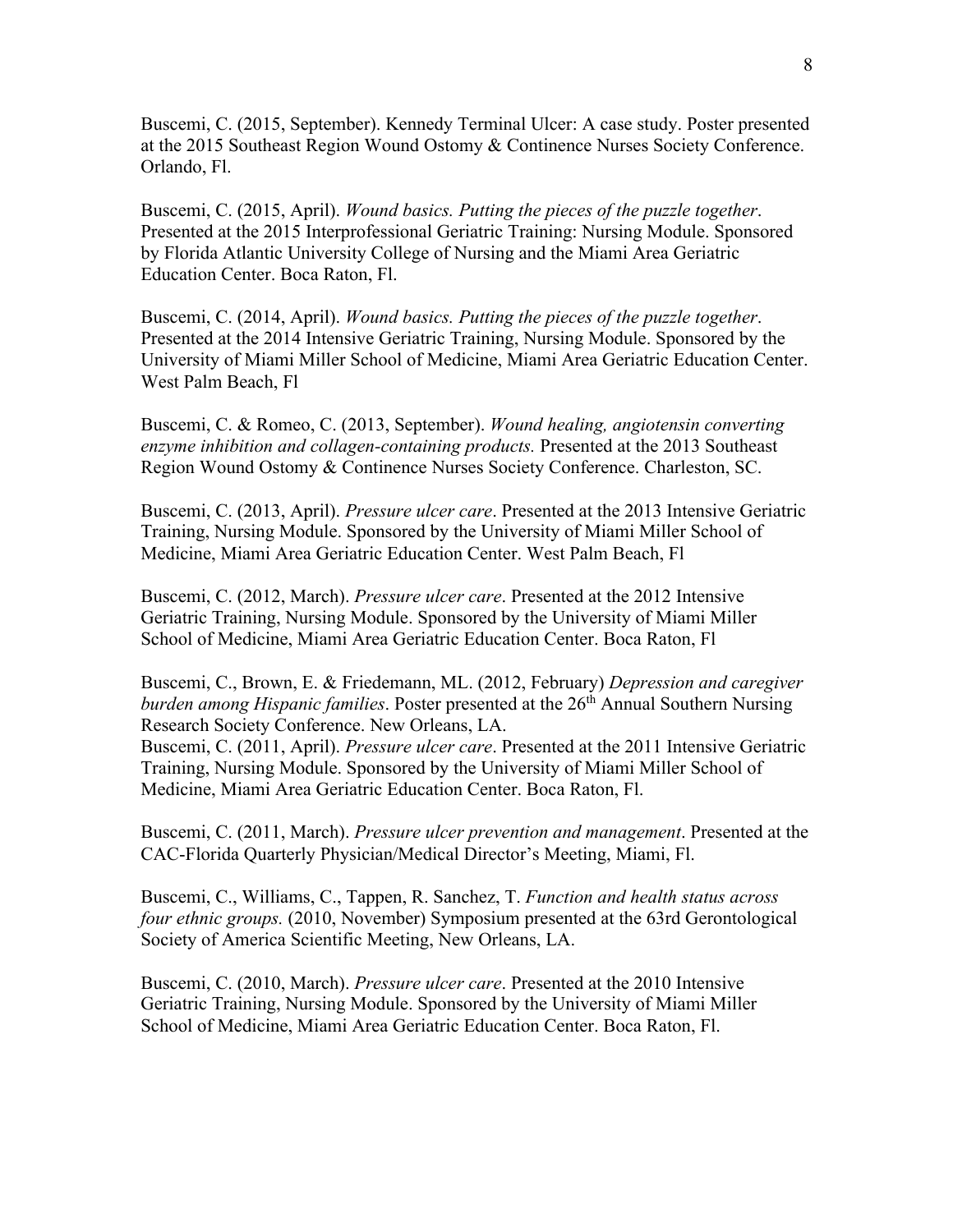Buscemi, C. (2015, September). Kennedy Terminal Ulcer: A case study. Poster presented at the 2015 Southeast Region Wound Ostomy & Continence Nurses Society Conference. Orlando, Fl.

Buscemi, C. (2015, April). *Wound basics. Putting the pieces of the puzzle together*. Presented at the 2015 Interprofessional Geriatric Training: Nursing Module. Sponsored by Florida Atlantic University College of Nursing and the Miami Area Geriatric Education Center. Boca Raton, Fl.

Buscemi, C. (2014, April). *Wound basics. Putting the pieces of the puzzle together*. Presented at the 2014 Intensive Geriatric Training, Nursing Module. Sponsored by the University of Miami Miller School of Medicine, Miami Area Geriatric Education Center. West Palm Beach, Fl

Buscemi, C. & Romeo, C. (2013, September). *Wound healing, angiotensin converting enzyme inhibition and collagen-containing products.* Presented at the 2013 Southeast Region Wound Ostomy & Continence Nurses Society Conference. Charleston, SC.

Buscemi, C. (2013, April). *Pressure ulcer care*. Presented at the 2013 Intensive Geriatric Training, Nursing Module. Sponsored by the University of Miami Miller School of Medicine, Miami Area Geriatric Education Center. West Palm Beach, Fl

Buscemi, C. (2012, March). *Pressure ulcer care*. Presented at the 2012 Intensive Geriatric Training, Nursing Module. Sponsored by the University of Miami Miller School of Medicine, Miami Area Geriatric Education Center. Boca Raton, Fl

Buscemi, C., Brown, E. & Friedemann, ML. (2012, February) *Depression and caregiver burden among Hispanic families*. Poster presented at the 26<sup>th</sup> Annual Southern Nursing Research Society Conference. New Orleans, LA.

Buscemi, C. (2011, April). *Pressure ulcer care*. Presented at the 2011 Intensive Geriatric Training, Nursing Module. Sponsored by the University of Miami Miller School of Medicine, Miami Area Geriatric Education Center. Boca Raton, Fl.

Buscemi, C. (2011, March). *Pressure ulcer prevention and management*. Presented at the CAC-Florida Quarterly Physician/Medical Director's Meeting, Miami, Fl.

Buscemi, C., Williams, C., Tappen, R. Sanchez, T. *Function and health status across four ethnic groups.* (2010, November) Symposium presented at the 63rd Gerontological Society of America Scientific Meeting, New Orleans, LA.

Buscemi, C. (2010, March). *Pressure ulcer care*. Presented at the 2010 Intensive Geriatric Training, Nursing Module. Sponsored by the University of Miami Miller School of Medicine, Miami Area Geriatric Education Center. Boca Raton, Fl.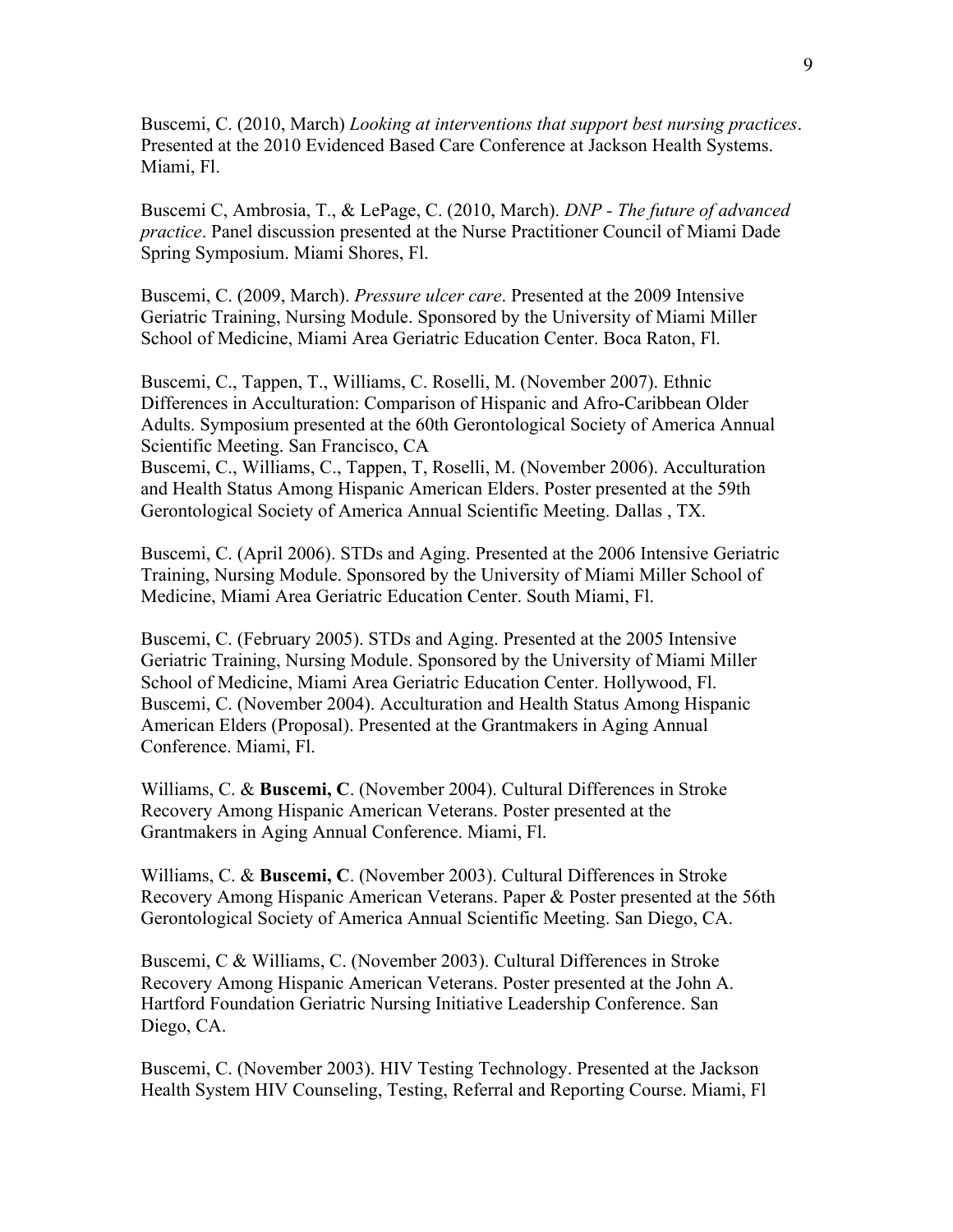Buscemi, C. (2010, March) *Looking at interventions that support best nursing practices*. Presented at the 2010 Evidenced Based Care Conference at Jackson Health Systems. Miami, Fl.

Buscemi C, Ambrosia, T., & LePage, C. (2010, March). *DNP - The future of advanced practice*. Panel discussion presented at the Nurse Practitioner Council of Miami Dade Spring Symposium. Miami Shores, Fl.

Buscemi, C. (2009, March). *Pressure ulcer care*. Presented at the 2009 Intensive Geriatric Training, Nursing Module. Sponsored by the University of Miami Miller School of Medicine, Miami Area Geriatric Education Center. Boca Raton, Fl.

Buscemi, C., Tappen, T., Williams, C. Roselli, M. (November 2007). Ethnic Differences in Acculturation: Comparison of Hispanic and Afro-Caribbean Older Adults. Symposium presented at the 60th Gerontological Society of America Annual Scientific Meeting. San Francisco, CA Buscemi, C., Williams, C., Tappen, T, Roselli, M. (November 2006). Acculturation

and Health Status Among Hispanic American Elders. Poster presented at the 59th Gerontological Society of America Annual Scientific Meeting. Dallas , TX.

Buscemi, C. (April 2006). STDs and Aging. Presented at the 2006 Intensive Geriatric Training, Nursing Module. Sponsored by the University of Miami Miller School of Medicine, Miami Area Geriatric Education Center. South Miami, Fl.

Buscemi, C. (February 2005). STDs and Aging. Presented at the 2005 Intensive Geriatric Training, Nursing Module. Sponsored by the University of Miami Miller School of Medicine, Miami Area Geriatric Education Center. Hollywood, Fl. Buscemi, C. (November 2004). Acculturation and Health Status Among Hispanic American Elders (Proposal). Presented at the Grantmakers in Aging Annual Conference. Miami, Fl.

Williams, C. & **Buscemi, C**. (November 2004). Cultural Differences in Stroke Recovery Among Hispanic American Veterans. Poster presented at the Grantmakers in Aging Annual Conference. Miami, Fl.

Williams, C. & **Buscemi, C**. (November 2003). Cultural Differences in Stroke Recovery Among Hispanic American Veterans. Paper & Poster presented at the 56th Gerontological Society of America Annual Scientific Meeting. San Diego, CA.

Buscemi, C & Williams, C. (November 2003). Cultural Differences in Stroke Recovery Among Hispanic American Veterans. Poster presented at the John A. Hartford Foundation Geriatric Nursing Initiative Leadership Conference. San Diego, CA.

Buscemi, C. (November 2003). HIV Testing Technology. Presented at the Jackson Health System HIV Counseling, Testing, Referral and Reporting Course. Miami, Fl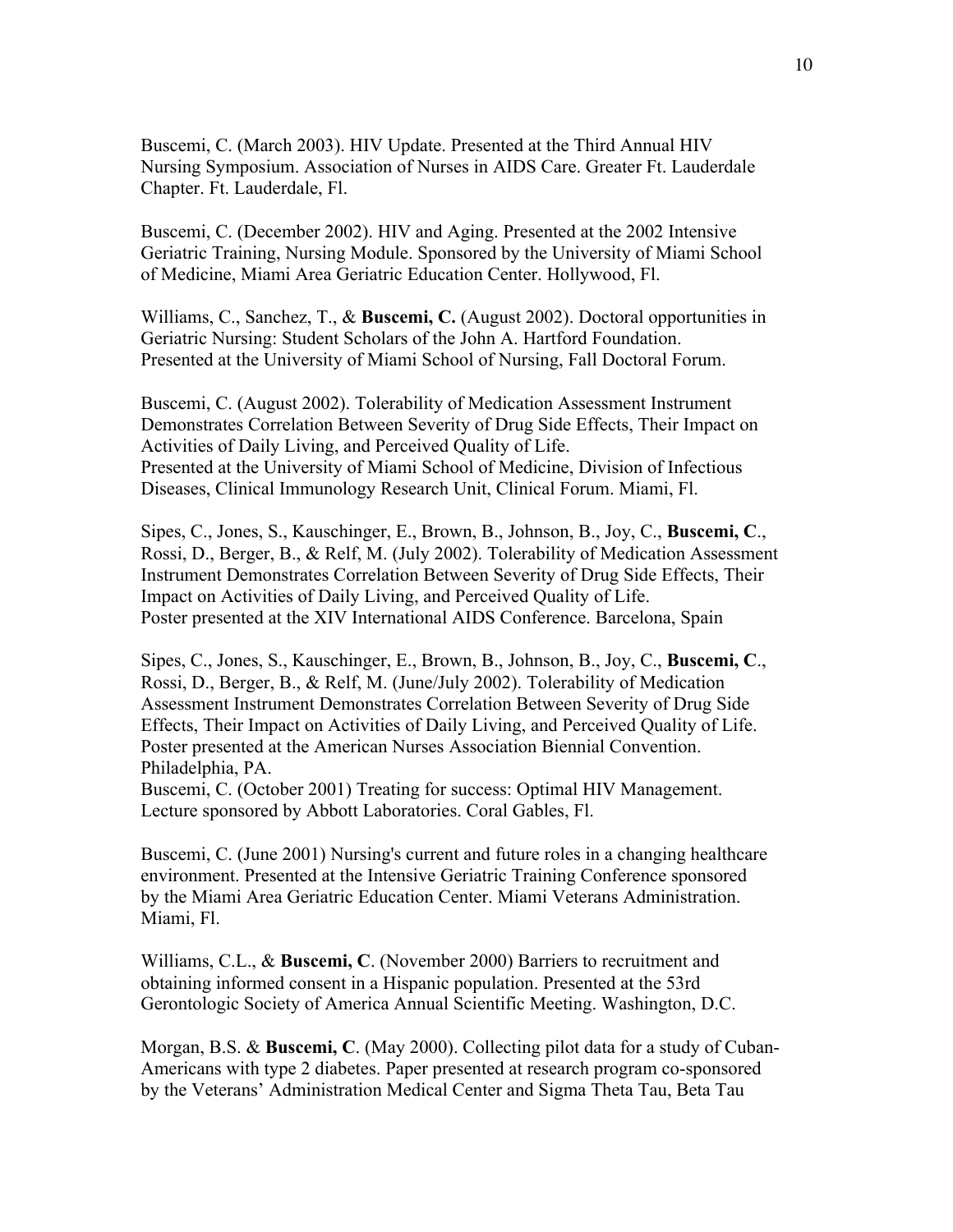Buscemi, C. (March 2003). HIV Update. Presented at the Third Annual HIV Nursing Symposium. Association of Nurses in AIDS Care. Greater Ft. Lauderdale Chapter. Ft. Lauderdale, Fl.

Buscemi, C. (December 2002). HIV and Aging. Presented at the 2002 Intensive Geriatric Training, Nursing Module. Sponsored by the University of Miami School of Medicine, Miami Area Geriatric Education Center. Hollywood, Fl.

Williams, C., Sanchez, T., & **Buscemi, C.** (August 2002). Doctoral opportunities in Geriatric Nursing: Student Scholars of the John A. Hartford Foundation. Presented at the University of Miami School of Nursing, Fall Doctoral Forum.

Buscemi, C. (August 2002). Tolerability of Medication Assessment Instrument Demonstrates Correlation Between Severity of Drug Side Effects, Their Impact on Activities of Daily Living, and Perceived Quality of Life. Presented at the University of Miami School of Medicine, Division of Infectious Diseases, Clinical Immunology Research Unit, Clinical Forum. Miami, Fl.

Sipes, C., Jones, S., Kauschinger, E., Brown, B., Johnson, B., Joy, C., **Buscemi, C**., Rossi, D., Berger, B., & Relf, M. (July 2002). Tolerability of Medication Assessment Instrument Demonstrates Correlation Between Severity of Drug Side Effects, Their Impact on Activities of Daily Living, and Perceived Quality of Life. Poster presented at the XIV International AIDS Conference. Barcelona, Spain

Sipes, C., Jones, S., Kauschinger, E., Brown, B., Johnson, B., Joy, C., **Buscemi, C**., Rossi, D., Berger, B., & Relf, M. (June/July 2002). Tolerability of Medication Assessment Instrument Demonstrates Correlation Between Severity of Drug Side Effects, Their Impact on Activities of Daily Living, and Perceived Quality of Life. Poster presented at the American Nurses Association Biennial Convention. Philadelphia, PA.

Buscemi, C. (October 2001) Treating for success: Optimal HIV Management. Lecture sponsored by Abbott Laboratories. Coral Gables, Fl.

Buscemi, C. (June 2001) Nursing's current and future roles in a changing healthcare environment. Presented at the Intensive Geriatric Training Conference sponsored by the Miami Area Geriatric Education Center. Miami Veterans Administration. Miami, Fl.

Williams, C.L., & **Buscemi, C**. (November 2000) Barriers to recruitment and obtaining informed consent in a Hispanic population. Presented at the 53rd Gerontologic Society of America Annual Scientific Meeting. Washington, D.C.

Morgan, B.S. & **Buscemi, C**. (May 2000). Collecting pilot data for a study of Cuban-Americans with type 2 diabetes. Paper presented at research program co-sponsored by the Veterans' Administration Medical Center and Sigma Theta Tau, Beta Tau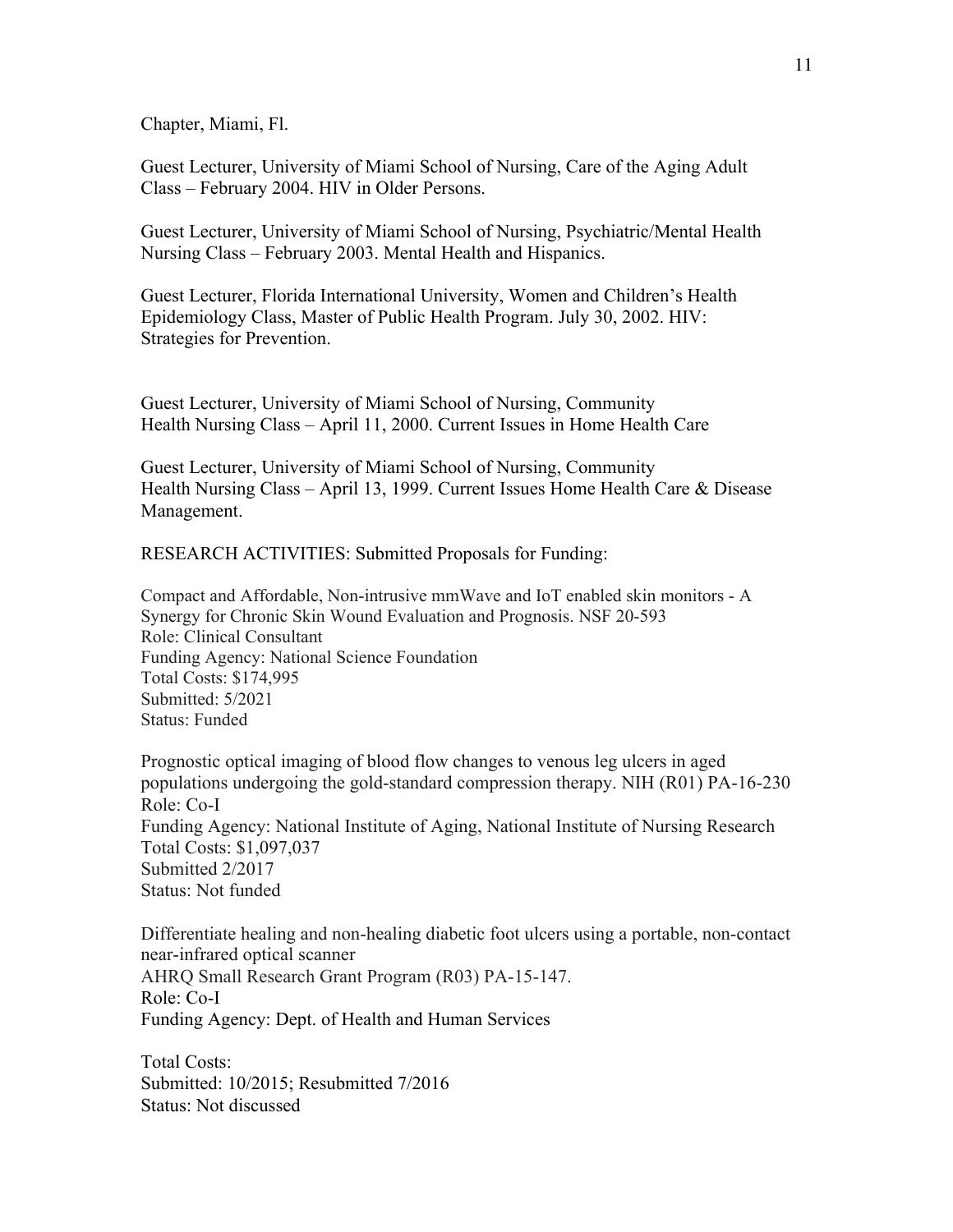Chapter, Miami, Fl.

Guest Lecturer, University of Miami School of Nursing, Care of the Aging Adult Class – February 2004. HIV in Older Persons.

Guest Lecturer, University of Miami School of Nursing, Psychiatric/Mental Health Nursing Class – February 2003. Mental Health and Hispanics.

Guest Lecturer, Florida International University, Women and Children's Health Epidemiology Class, Master of Public Health Program. July 30, 2002. HIV: Strategies for Prevention.

Guest Lecturer, University of Miami School of Nursing, Community Health Nursing Class – April 11, 2000. Current Issues in Home Health Care

Guest Lecturer, University of Miami School of Nursing, Community Health Nursing Class – April 13, 1999. Current Issues Home Health Care & Disease Management.

RESEARCH ACTIVITIES: Submitted Proposals for Funding:

Compact and Affordable, Non-intrusive mmWave and IoT enabled skin monitors - A Synergy for Chronic Skin Wound Evaluation and Prognosis. NSF 20-593 Role: Clinical Consultant Funding Agency: National Science Foundation Total Costs: \$174,995 Submitted: 5/2021 Status: Funded

Prognostic optical imaging of blood flow changes to venous leg ulcers in aged populations undergoing the gold-standard compression therapy. NIH (R01) PA-16-230 Role: Co-I Funding Agency: National Institute of Aging, National Institute of Nursing Research Total Costs: \$1,097,037 Submitted 2/2017 Status: Not funded

Differentiate healing and non-healing diabetic foot ulcers using a portable, non-contact near-infrared optical scanner AHRQ Small Research Grant Program (R03) PA-15-147. Role: Co-I Funding Agency: Dept. of Health and Human Services

Total Costs: Submitted: 10/2015; Resubmitted 7/2016 Status: Not discussed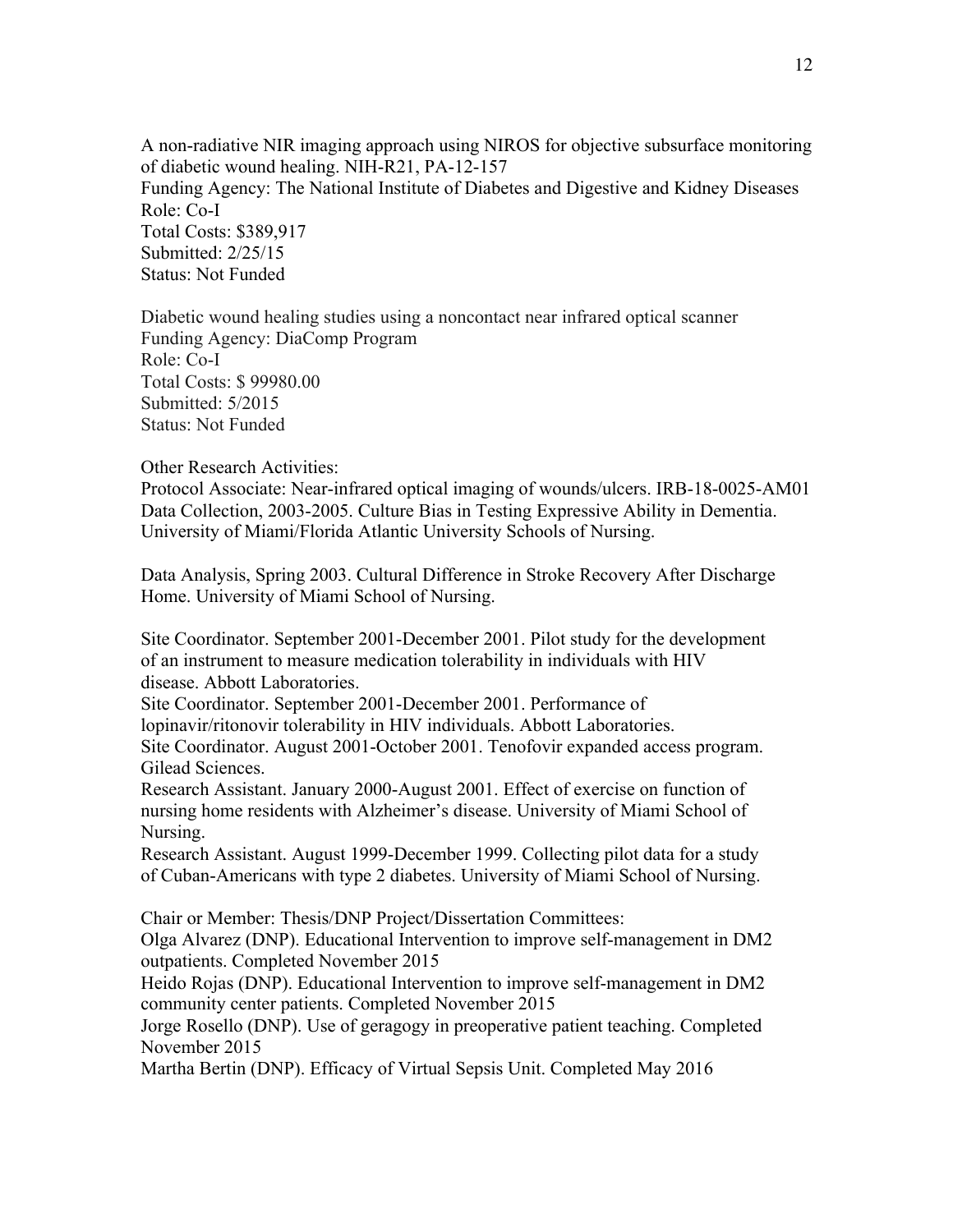A non-radiative NIR imaging approach using NIROS for objective subsurface monitoring of diabetic wound healing. NIH-R21, PA-12-157 Funding Agency: The National Institute of Diabetes and Digestive and Kidney Diseases Role: Co-I Total Costs: \$389,917 Submitted: 2/25/15 Status: Not Funded

Diabetic wound healing studies using a noncontact near infrared optical scanner Funding Agency: DiaComp Program Role: Co-I Total Costs: \$ 99980.00 Submitted: 5/2015 Status: Not Funded

### Other Research Activities:

Protocol Associate: Near-infrared optical imaging of wounds/ulcers. IRB-18-0025-AM01 Data Collection, 2003-2005. Culture Bias in Testing Expressive Ability in Dementia. University of Miami/Florida Atlantic University Schools of Nursing.

Data Analysis, Spring 2003. Cultural Difference in Stroke Recovery After Discharge Home. University of Miami School of Nursing.

Site Coordinator. September 2001-December 2001. Pilot study for the development of an instrument to measure medication tolerability in individuals with HIV disease. Abbott Laboratories.

Site Coordinator. September 2001-December 2001. Performance of

lopinavir/ritonovir tolerability in HIV individuals. Abbott Laboratories.

Site Coordinator. August 2001-October 2001. Tenofovir expanded access program. Gilead Sciences.

Research Assistant. January 2000-August 2001. Effect of exercise on function of nursing home residents with Alzheimer's disease. University of Miami School of Nursing.

Research Assistant. August 1999-December 1999. Collecting pilot data for a study of Cuban-Americans with type 2 diabetes. University of Miami School of Nursing.

Chair or Member: Thesis/DNP Project/Dissertation Committees:

Olga Alvarez (DNP). Educational Intervention to improve self-management in DM2 outpatients. Completed November 2015

Heido Rojas (DNP). Educational Intervention to improve self-management in DM2 community center patients. Completed November 2015

Jorge Rosello (DNP). Use of geragogy in preoperative patient teaching. Completed November 2015

Martha Bertin (DNP). Efficacy of Virtual Sepsis Unit. Completed May 2016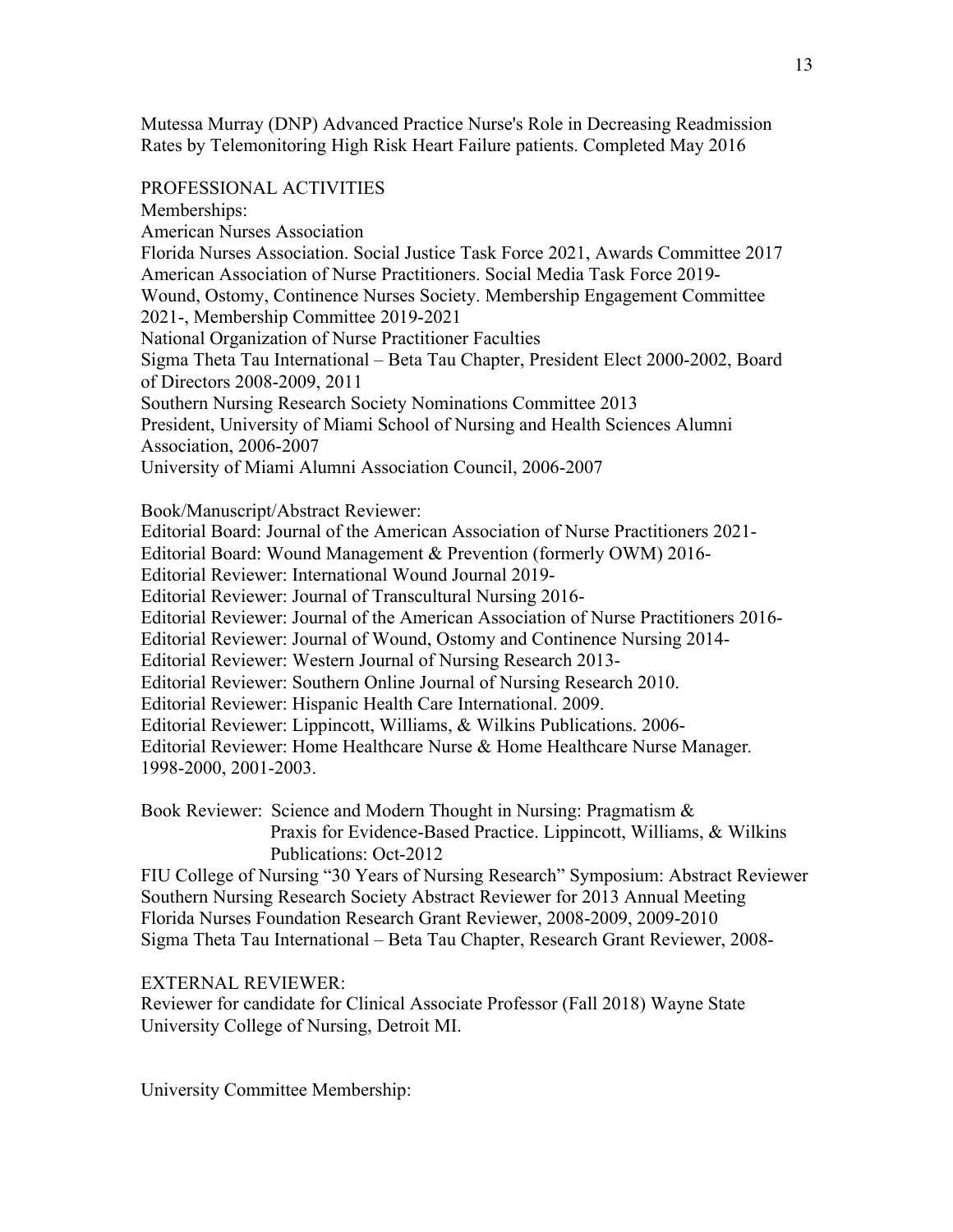Mutessa Murray (DNP) Advanced Practice Nurse's Role in Decreasing Readmission Rates by Telemonitoring High Risk Heart Failure patients. Completed May 2016

### PROFESSIONAL ACTIVITIES

Memberships:

American Nurses Association

Florida Nurses Association. Social Justice Task Force 2021, Awards Committee 2017 American Association of Nurse Practitioners. Social Media Task Force 2019- Wound, Ostomy, Continence Nurses Society. Membership Engagement Committee

2021-, Membership Committee 2019-2021

National Organization of Nurse Practitioner Faculties Sigma Theta Tau International – Beta Tau Chapter, President Elect 2000-2002, Board

of Directors 2008-2009, 2011

Southern Nursing Research Society Nominations Committee 2013 President, University of Miami School of Nursing and Health Sciences Alumni Association, 2006-2007

University of Miami Alumni Association Council, 2006-2007

## Book/Manuscript/Abstract Reviewer:

Editorial Board: Journal of the American Association of Nurse Practitioners 2021-

Editorial Board: Wound Management & Prevention (formerly OWM) 2016-

Editorial Reviewer: International Wound Journal 2019-

Editorial Reviewer: Journal of Transcultural Nursing 2016-

Editorial Reviewer: Journal of the American Association of Nurse Practitioners 2016-

Editorial Reviewer: Journal of Wound, Ostomy and Continence Nursing 2014-

Editorial Reviewer: Western Journal of Nursing Research 2013-

Editorial Reviewer: Southern Online Journal of Nursing Research 2010.

Editorial Reviewer: Hispanic Health Care International. 2009.

Editorial Reviewer: Lippincott, Williams, & Wilkins Publications. 2006-

Editorial Reviewer: Home Healthcare Nurse & Home Healthcare Nurse Manager*.* 1998-2000, 2001-2003.

Book Reviewer: Science and Modern Thought in Nursing: Pragmatism & Praxis for Evidence-Based Practice. Lippincott, Williams, & Wilkins Publications: Oct-2012

FIU College of Nursing "30 Years of Nursing Research" Symposium: Abstract Reviewer Southern Nursing Research Society Abstract Reviewer for 2013 Annual Meeting Florida Nurses Foundation Research Grant Reviewer, 2008-2009, 2009-2010 Sigma Theta Tau International – Beta Tau Chapter, Research Grant Reviewer, 2008-

# EXTERNAL REVIEWER:

Reviewer for candidate for Clinical Associate Professor (Fall 2018) Wayne State University College of Nursing, Detroit MI.

University Committee Membership: